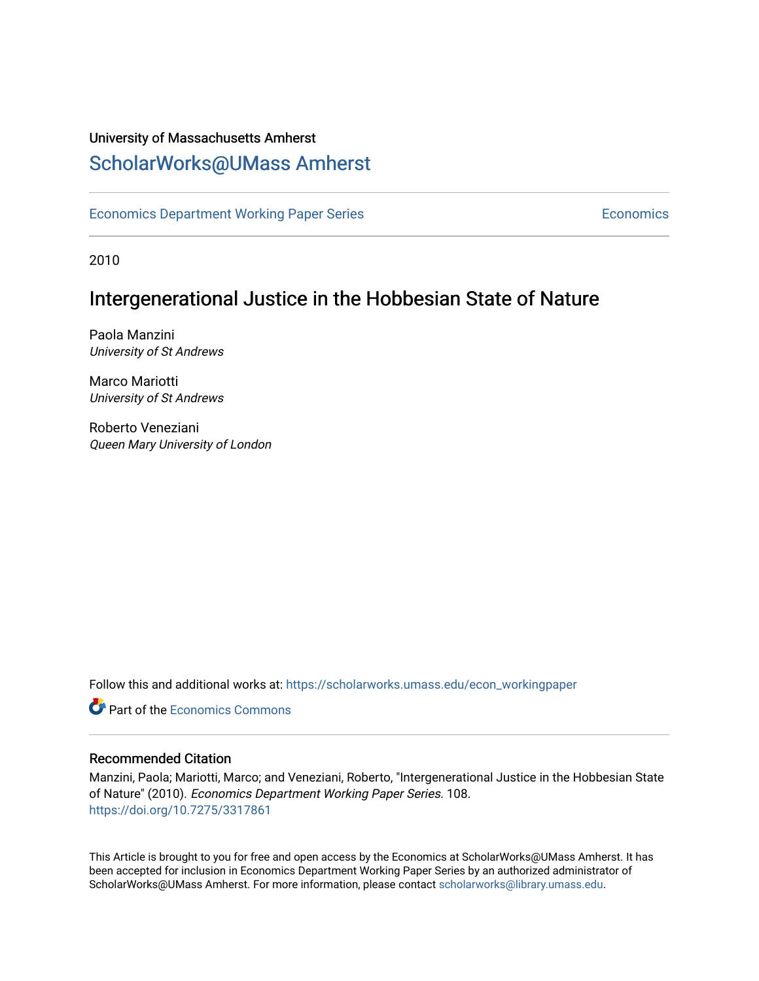### University of Massachusetts Amherst [ScholarWorks@UMass Amherst](https://scholarworks.umass.edu/)

[Economics Department Working Paper Series](https://scholarworks.umass.edu/econ_workingpaper) **Economics** Economics

2010

### Intergenerational Justice in the Hobbesian State of Nature

Paola Manzini University of St Andrews

Marco Mariotti University of St Andrews

Roberto Veneziani Queen Mary University of London

Follow this and additional works at: [https://scholarworks.umass.edu/econ\\_workingpaper](https://scholarworks.umass.edu/econ_workingpaper?utm_source=scholarworks.umass.edu%2Fecon_workingpaper%2F108&utm_medium=PDF&utm_campaign=PDFCoverPages) 

**C** Part of the [Economics Commons](http://network.bepress.com/hgg/discipline/340?utm_source=scholarworks.umass.edu%2Fecon_workingpaper%2F108&utm_medium=PDF&utm_campaign=PDFCoverPages)

#### Recommended Citation

Manzini, Paola; Mariotti, Marco; and Veneziani, Roberto, "Intergenerational Justice in the Hobbesian State of Nature" (2010). Economics Department Working Paper Series. 108. <https://doi.org/10.7275/3317861>

This Article is brought to you for free and open access by the Economics at ScholarWorks@UMass Amherst. It has been accepted for inclusion in Economics Department Working Paper Series by an authorized administrator of ScholarWorks@UMass Amherst. For more information, please contact [scholarworks@library.umass.edu.](mailto:scholarworks@library.umass.edu)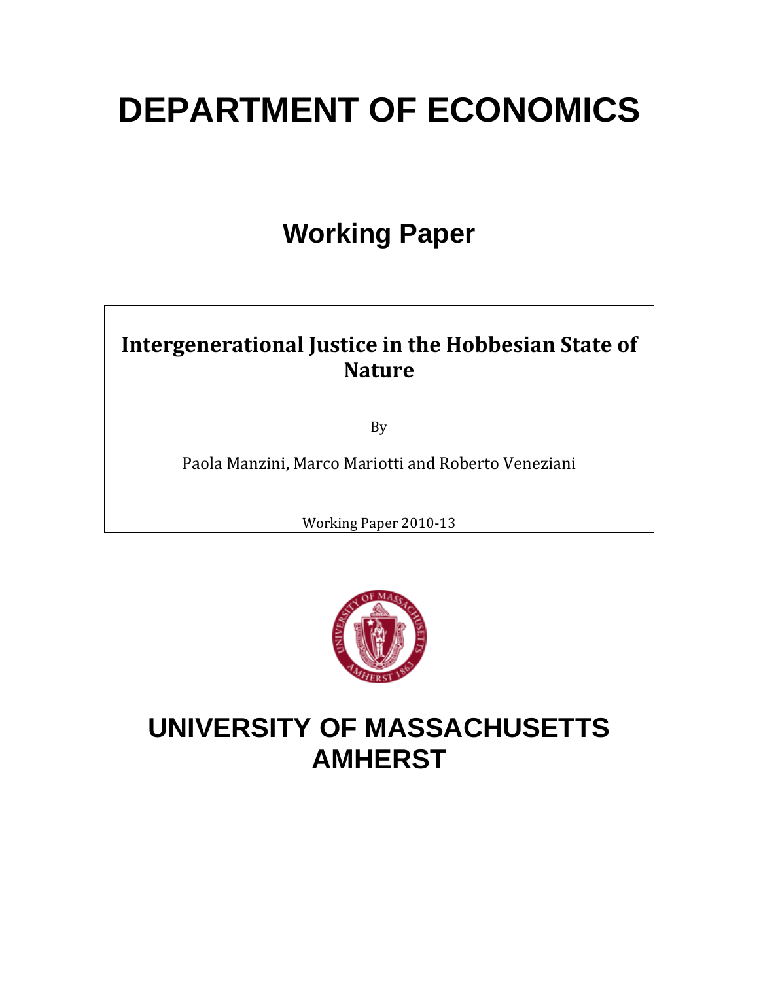# **DEPARTMENT OF ECONOMICS**

## **Working Paper**

## **Intergenerational Justice in the Hobbesian State of Nature**

By

Paola Manzini, Marco Mariotti and Roberto Veneziani

Working Paper 2010‐13



## **UNIVERSITY OF MASSACHUSETTS AMHERST**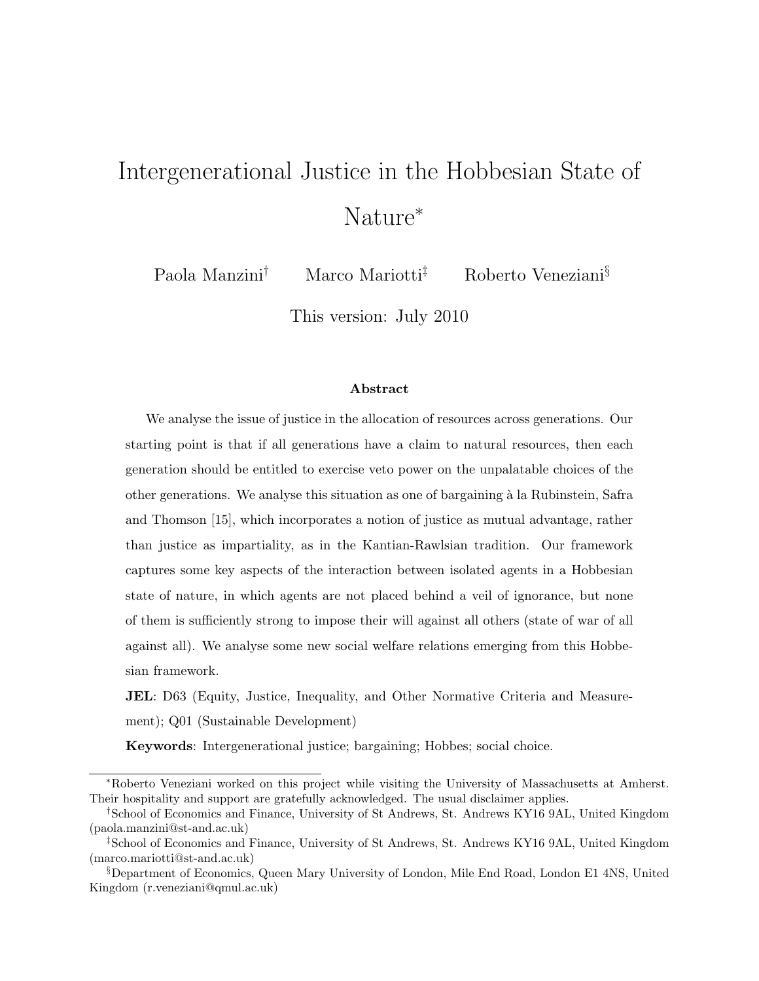## Intergenerational Justice in the Hobbesian State of Nature<sup>∗</sup>

Paola Manzini† Marco Mariotti‡ Roberto Veneziani§

This version: July 2010

#### Abstract

We analyse the issue of justice in the allocation of resources across generations. Our starting point is that if all generations have a claim to natural resources, then each generation should be entitled to exercise veto power on the unpalatable choices of the other generations. We analyse this situation as one of bargaining `a la Rubinstein, Safra and Thomson [15], which incorporates a notion of justice as mutual advantage, rather than justice as impartiality, as in the Kantian-Rawlsian tradition. Our framework captures some key aspects of the interaction between isolated agents in a Hobbesian state of nature, in which agents are not placed behind a veil of ignorance, but none of them is sufficiently strong to impose their will against all others (state of war of all against all). We analyse some new social welfare relations emerging from this Hobbesian framework.

**JEL:** D63 (Equity, Justice, Inequality, and Other Normative Criteria and Measurement); Q01 (Sustainable Development)

Keywords: Intergenerational justice; bargaining; Hobbes; social choice.

<sup>∗</sup>Roberto Veneziani worked on this project while visiting the University of Massachusetts at Amherst. Their hospitality and support are gratefully acknowledged. The usual disclaimer applies.

<sup>†</sup>School of Economics and Finance, University of St Andrews, St. Andrews KY16 9AL, United Kingdom (paola.manzini@st-and.ac.uk)

<sup>‡</sup>School of Economics and Finance, University of St Andrews, St. Andrews KY16 9AL, United Kingdom (marco.mariotti@st-and.ac.uk)

<sup>§</sup>Department of Economics, Queen Mary University of London, Mile End Road, London E1 4NS, United Kingdom (r.veneziani@qmul.ac.uk)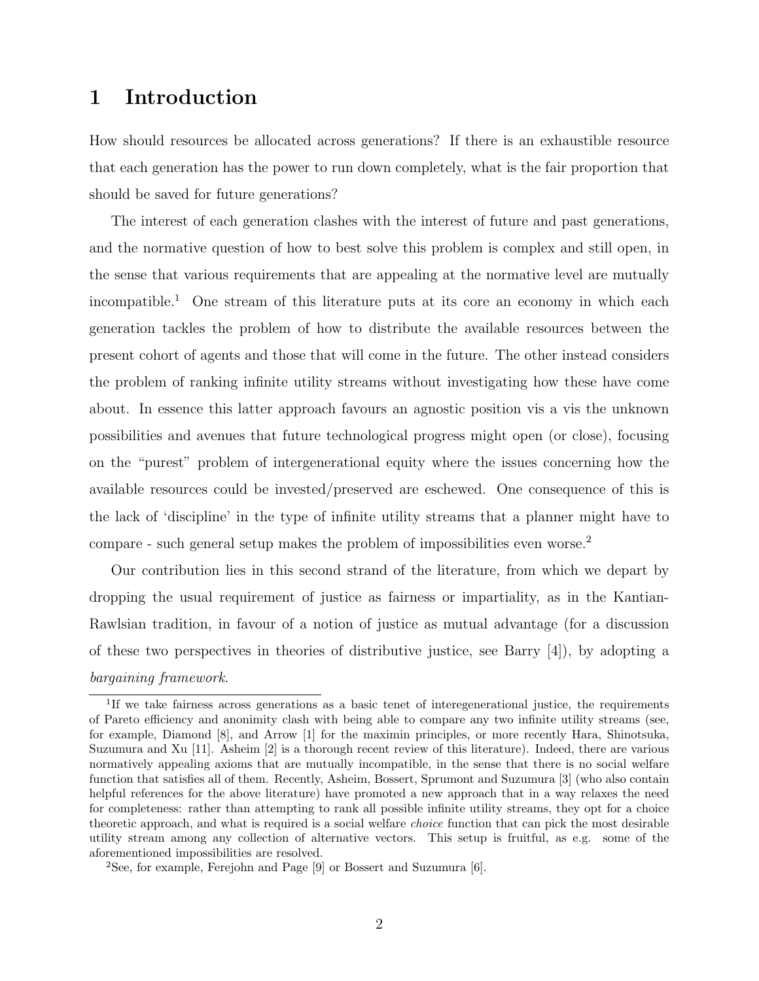### 1 Introduction

How should resources be allocated across generations? If there is an exhaustible resource that each generation has the power to run down completely, what is the fair proportion that should be saved for future generations?

The interest of each generation clashes with the interest of future and past generations, and the normative question of how to best solve this problem is complex and still open, in the sense that various requirements that are appealing at the normative level are mutually incompatible.<sup>1</sup> One stream of this literature puts at its core an economy in which each generation tackles the problem of how to distribute the available resources between the present cohort of agents and those that will come in the future. The other instead considers the problem of ranking infinite utility streams without investigating how these have come about. In essence this latter approach favours an agnostic position vis a vis the unknown possibilities and avenues that future technological progress might open (or close), focusing on the "purest" problem of intergenerational equity where the issues concerning how the available resources could be invested/preserved are eschewed. One consequence of this is the lack of 'discipline' in the type of infinite utility streams that a planner might have to compare - such general setup makes the problem of impossibilities even worse.<sup>2</sup>

Our contribution lies in this second strand of the literature, from which we depart by dropping the usual requirement of justice as fairness or impartiality, as in the Kantian-Rawlsian tradition, in favour of a notion of justice as mutual advantage (for a discussion of these two perspectives in theories of distributive justice, see Barry [4]), by adopting a bargaining framework.

<sup>&</sup>lt;sup>1</sup>If we take fairness across generations as a basic tenet of interegenerational justice, the requirements of Pareto efficiency and anonimity clash with being able to compare any two infinite utility streams (see, for example, Diamond [8], and Arrow [1] for the maximin principles, or more recently Hara, Shinotsuka, Suzumura and Xu [11]. Asheim [2] is a thorough recent review of this literature). Indeed, there are various normatively appealing axioms that are mutually incompatible, in the sense that there is no social welfare function that satisfies all of them. Recently, Asheim, Bossert, Sprumont and Suzumura [3] (who also contain helpful references for the above literature) have promoted a new approach that in a way relaxes the need for completeness: rather than attempting to rank all possible infinite utility streams, they opt for a choice theoretic approach, and what is required is a social welfare choice function that can pick the most desirable utility stream among any collection of alternative vectors. This setup is fruitful, as e.g. some of the aforementioned impossibilities are resolved.

<sup>&</sup>lt;sup>2</sup>See, for example, Ferejohn and Page  $[9]$  or Bossert and Suzumura  $[6]$ .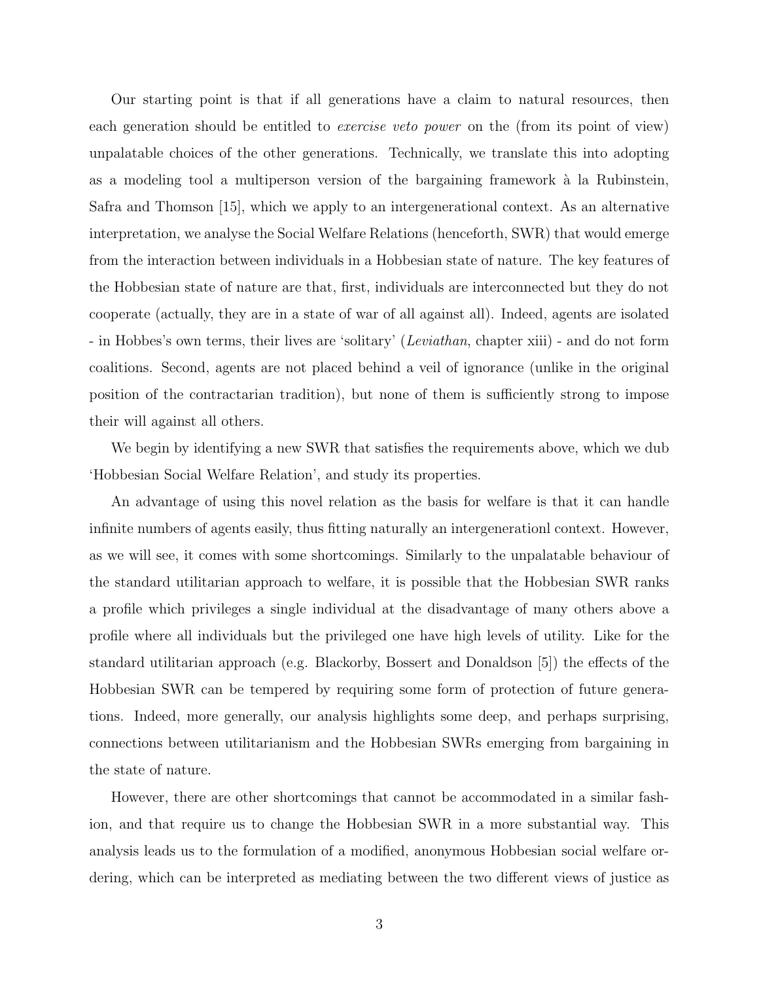Our starting point is that if all generations have a claim to natural resources, then each generation should be entitled to *exercise veto power* on the (from its point of view) unpalatable choices of the other generations. Technically, we translate this into adopting as a modeling tool a multiperson version of the bargaining framework à la Rubinstein, Safra and Thomson [15], which we apply to an intergenerational context. As an alternative interpretation, we analyse the Social Welfare Relations (henceforth, SWR) that would emerge from the interaction between individuals in a Hobbesian state of nature. The key features of the Hobbesian state of nature are that, first, individuals are interconnected but they do not cooperate (actually, they are in a state of war of all against all). Indeed, agents are isolated - in Hobbes's own terms, their lives are 'solitary' (Leviathan, chapter xiii) - and do not form coalitions. Second, agents are not placed behind a veil of ignorance (unlike in the original position of the contractarian tradition), but none of them is sufficiently strong to impose their will against all others.

We begin by identifying a new SWR that satisfies the requirements above, which we dub 'Hobbesian Social Welfare Relation', and study its properties.

An advantage of using this novel relation as the basis for welfare is that it can handle infinite numbers of agents easily, thus fitting naturally an intergenerationl context. However, as we will see, it comes with some shortcomings. Similarly to the unpalatable behaviour of the standard utilitarian approach to welfare, it is possible that the Hobbesian SWR ranks a profile which privileges a single individual at the disadvantage of many others above a profile where all individuals but the privileged one have high levels of utility. Like for the standard utilitarian approach (e.g. Blackorby, Bossert and Donaldson [5]) the effects of the Hobbesian SWR can be tempered by requiring some form of protection of future generations. Indeed, more generally, our analysis highlights some deep, and perhaps surprising, connections between utilitarianism and the Hobbesian SWRs emerging from bargaining in the state of nature.

However, there are other shortcomings that cannot be accommodated in a similar fashion, and that require us to change the Hobbesian SWR in a more substantial way. This analysis leads us to the formulation of a modified, anonymous Hobbesian social welfare ordering, which can be interpreted as mediating between the two different views of justice as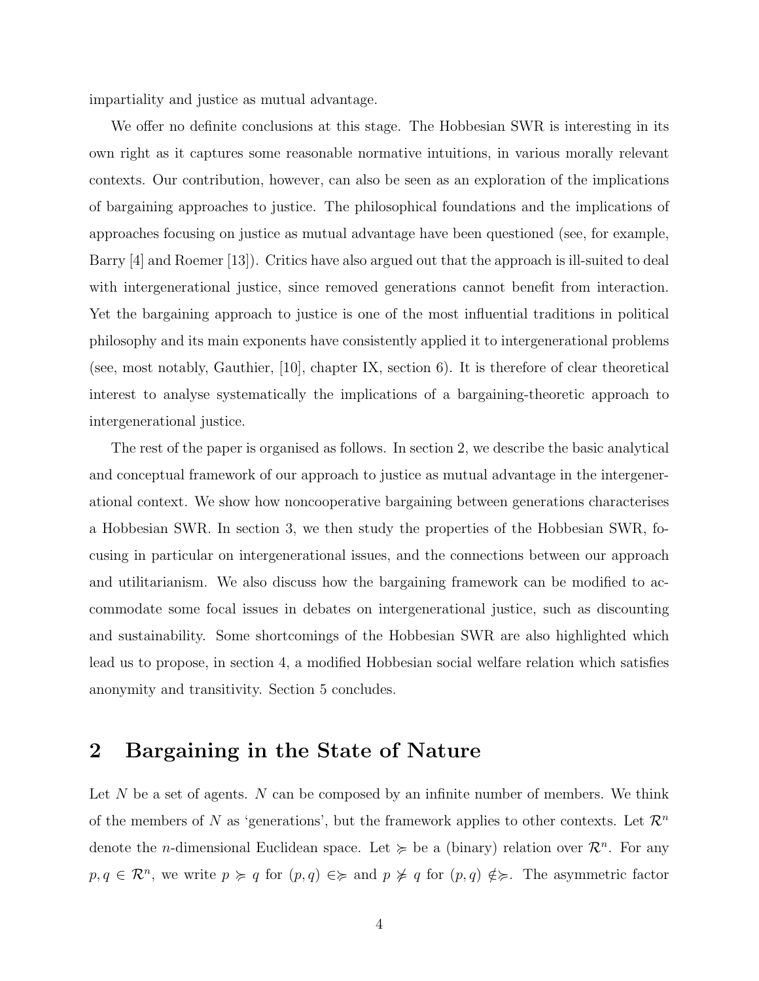impartiality and justice as mutual advantage.

We offer no definite conclusions at this stage. The Hobbesian SWR is interesting in its own right as it captures some reasonable normative intuitions, in various morally relevant contexts. Our contribution, however, can also be seen as an exploration of the implications of bargaining approaches to justice. The philosophical foundations and the implications of approaches focusing on justice as mutual advantage have been questioned (see, for example, Barry [4] and Roemer [13]). Critics have also argued out that the approach is ill-suited to deal with intergenerational justice, since removed generations cannot benefit from interaction. Yet the bargaining approach to justice is one of the most influential traditions in political philosophy and its main exponents have consistently applied it to intergenerational problems (see, most notably, Gauthier, [10], chapter IX, section 6). It is therefore of clear theoretical interest to analyse systematically the implications of a bargaining-theoretic approach to intergenerational justice.

The rest of the paper is organised as follows. In section 2, we describe the basic analytical and conceptual framework of our approach to justice as mutual advantage in the intergenerational context. We show how noncooperative bargaining between generations characterises a Hobbesian SWR. In section 3, we then study the properties of the Hobbesian SWR, focusing in particular on intergenerational issues, and the connections between our approach and utilitarianism. We also discuss how the bargaining framework can be modified to accommodate some focal issues in debates on intergenerational justice, such as discounting and sustainability. Some shortcomings of the Hobbesian SWR are also highlighted which lead us to propose, in section 4, a modified Hobbesian social welfare relation which satisfies anonymity and transitivity. Section 5 concludes.

#### 2 Bargaining in the State of Nature

Let  $N$  be a set of agents.  $N$  can be composed by an infinite number of members. We think of the members of N as 'generations', but the framework applies to other contexts. Let  $\mathcal{R}^n$ denote the *n*-dimensional Euclidean space. Let  $\succeq$  be a (binary) relation over  $\mathcal{R}^n$ . For any  $p, q \in \mathbb{R}^n$ , we write  $p \geq q$  for  $(p, q) \in \geq$  and  $p \not\geq q$  for  $(p, q) \notin \geq$ . The asymmetric factor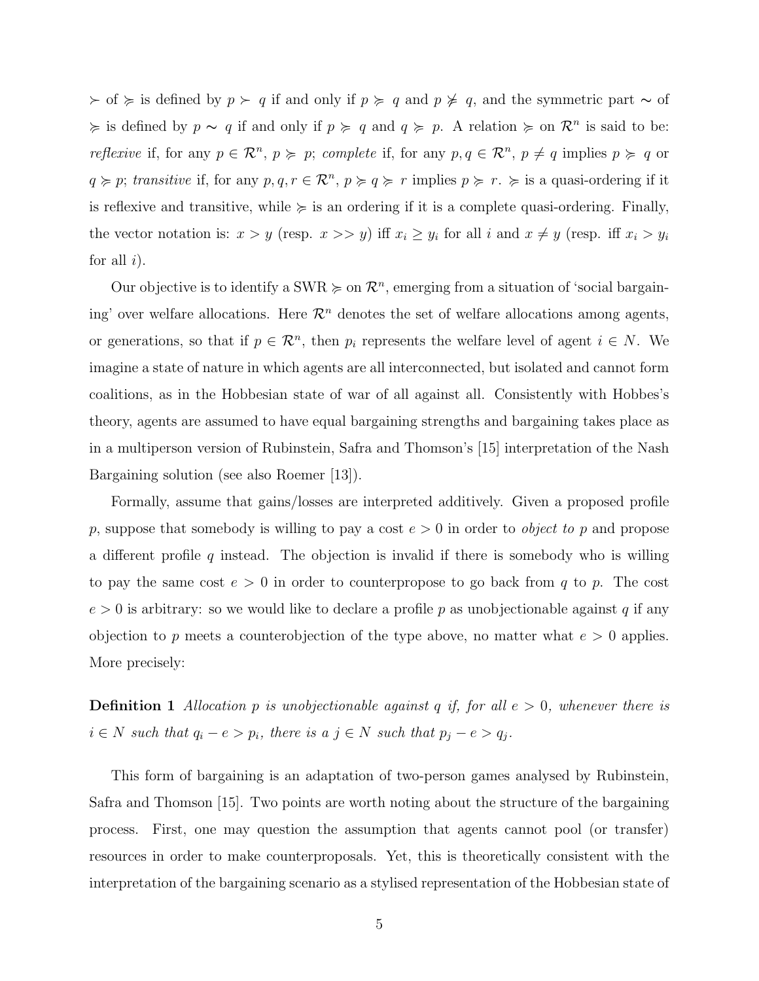$\geq$  of  $\succeq$  is defined by  $p \succ q$  if and only if  $p \succ q$  and  $p \not\geq q$ , and the symmetric part  $\sim$  of  $\succcurlyeq$  is defined by  $p \sim q$  if and only if  $p \succcurlyeq q$  and  $q \succcurlyeq p$ . A relation  $\succcurlyeq$  on  $\mathcal{R}^n$  is said to be: *reflexive* if, for any  $p \in \mathbb{R}^n$ ,  $p \geq p$ ; *complete* if, for any  $p, q \in \mathbb{R}^n$ ,  $p \neq q$  implies  $p \geq q$  or  $q \geq p$ ; transitive if, for any  $p, q, r \in \mathbb{R}^n$ ,  $p \geq q \geq r$  implies  $p \geq r \geq \infty$  is a quasi-ordering if it is reflexive and transitive, while  $\succcurlyeq$  is an ordering if it is a complete quasi-ordering. Finally, the vector notation is:  $x > y$  (resp.  $x >> y$ ) iff  $x_i \ge y_i$  for all i and  $x \ne y$  (resp. iff  $x_i > y_i$ for all  $i$ ).

Our objective is to identify a SWR  $\succcurlyeq$  on  $\mathcal{R}^n$ , emerging from a situation of 'social bargaining' over welfare allocations. Here  $\mathcal{R}^n$  denotes the set of welfare allocations among agents, or generations, so that if  $p \in \mathbb{R}^n$ , then  $p_i$  represents the welfare level of agent  $i \in N$ . We imagine a state of nature in which agents are all interconnected, but isolated and cannot form coalitions, as in the Hobbesian state of war of all against all. Consistently with Hobbes's theory, agents are assumed to have equal bargaining strengths and bargaining takes place as in a multiperson version of Rubinstein, Safra and Thomson's [15] interpretation of the Nash Bargaining solution (see also Roemer [13]).

Formally, assume that gains/losses are interpreted additively. Given a proposed profile p, suppose that somebody is willing to pay a cost  $e > 0$  in order to *object to p* and propose a different profile  $q$  instead. The objection is invalid if there is somebody who is willing to pay the same cost  $e > 0$  in order to counterpropose to go back from q to p. The cost  $e > 0$  is arbitrary: so we would like to declare a profile p as unobjectionable against q if any objection to p meets a counterobjection of the type above, no matter what  $e > 0$  applies. More precisely:

**Definition 1** Allocation p is unobjectionable against q if, for all  $e > 0$ , whenever there is  $i \in N$  such that  $q_i - e > p_i$ , there is a  $j \in N$  such that  $p_j - e > q_j$ .

This form of bargaining is an adaptation of two-person games analysed by Rubinstein, Safra and Thomson [15]. Two points are worth noting about the structure of the bargaining process. First, one may question the assumption that agents cannot pool (or transfer) resources in order to make counterproposals. Yet, this is theoretically consistent with the interpretation of the bargaining scenario as a stylised representation of the Hobbesian state of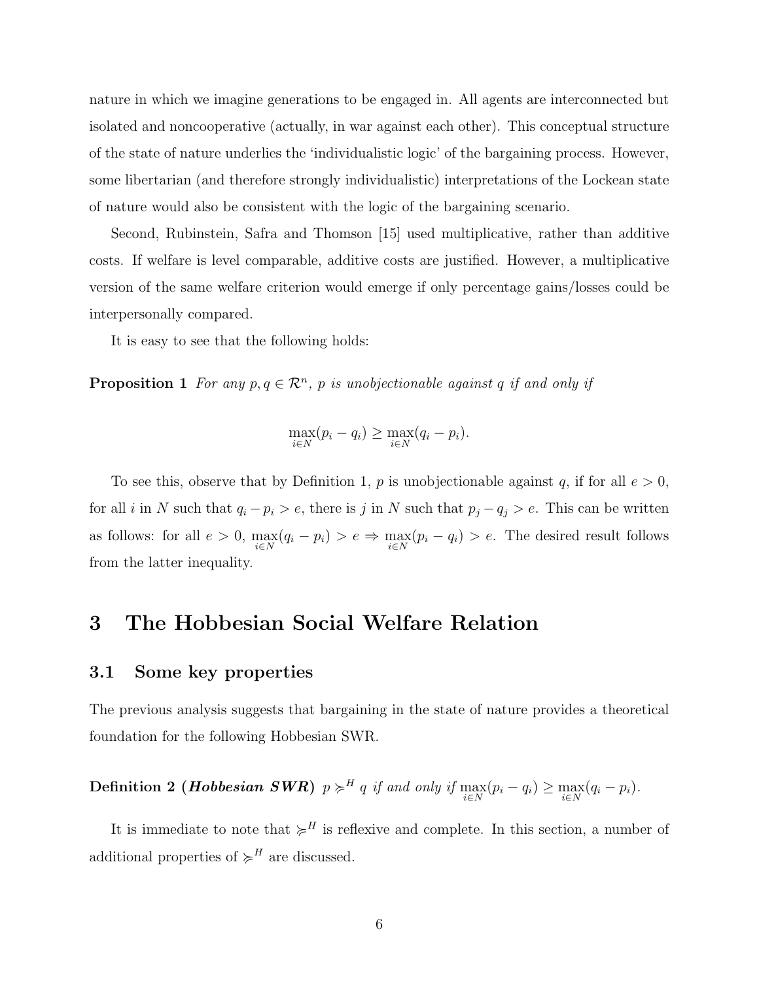nature in which we imagine generations to be engaged in. All agents are interconnected but isolated and noncooperative (actually, in war against each other). This conceptual structure of the state of nature underlies the 'individualistic logic' of the bargaining process. However, some libertarian (and therefore strongly individualistic) interpretations of the Lockean state of nature would also be consistent with the logic of the bargaining scenario.

Second, Rubinstein, Safra and Thomson [15] used multiplicative, rather than additive costs. If welfare is level comparable, additive costs are justified. However, a multiplicative version of the same welfare criterion would emerge if only percentage gains/losses could be interpersonally compared.

It is easy to see that the following holds:

**Proposition 1** For any  $p, q \in \mathbb{R}^n$ , p is unobjectionable against q if and only if

$$
\max_{i \in N} (p_i - q_i) \ge \max_{i \in N} (q_i - p_i).
$$

To see this, observe that by Definition 1, p is unobjectionable against q, if for all  $e > 0$ , for all *i* in N such that  $q_i - p_i > e$ , there is j in N such that  $p_j - q_j > e$ . This can be written as follows: for all  $e > 0$ ,  $\max_{i \in N} (q_i - p_i) > e \Rightarrow \max_{i \in N} (p_i - q_i) > e$ . The desired result follows from the latter inequality.

#### 3 The Hobbesian Social Welfare Relation

#### 3.1 Some key properties

The previous analysis suggests that bargaining in the state of nature provides a theoretical foundation for the following Hobbesian SWR.

## **Definition 2 (Hobbesian SWR)**  $p \succcurlyeq^H q$  if and only if  $\max_{i \in N} (p_i - q_i) \ge \max_{i \in N} (q_i - p_i)$ .

It is immediate to note that  $\succcurlyeq^H$  is reflexive and complete. In this section, a number of additional properties of  $\succcurlyeq^H$  are discussed.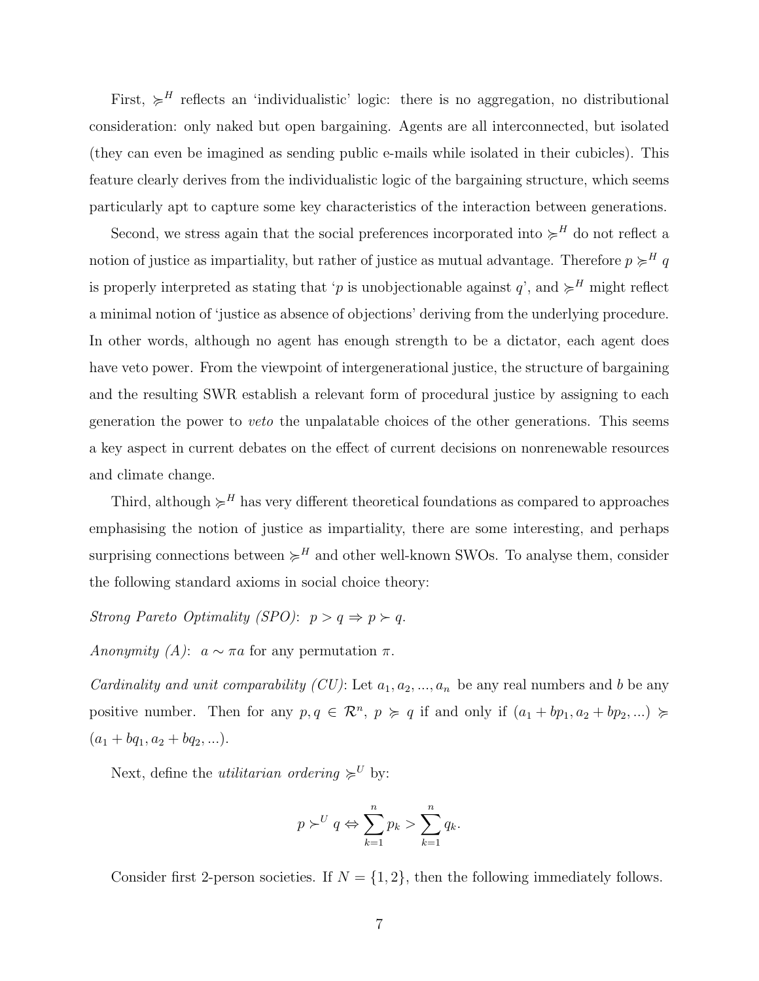First,  $\geqslant^H$  reflects an 'individualistic' logic: there is no aggregation, no distributional consideration: only naked but open bargaining. Agents are all interconnected, but isolated (they can even be imagined as sending public e-mails while isolated in their cubicles). This feature clearly derives from the individualistic logic of the bargaining structure, which seems particularly apt to capture some key characteristics of the interaction between generations.

Second, we stress again that the social preferences incorporated into  $\succ^H$  do not reflect a notion of justice as impartiality, but rather of justice as mutual advantage. Therefore  $p \succcurlyeq^H q$ is properly interpreted as stating that 'p is unobjectionable against  $q$ ', and  $\succcurlyeq^H$  might reflect a minimal notion of 'justice as absence of objections' deriving from the underlying procedure. In other words, although no agent has enough strength to be a dictator, each agent does have veto power. From the viewpoint of intergenerational justice, the structure of bargaining and the resulting SWR establish a relevant form of procedural justice by assigning to each generation the power to veto the unpalatable choices of the other generations. This seems a key aspect in current debates on the effect of current decisions on nonrenewable resources and climate change.

Third, although  $\succeq^H$  has very different theoretical foundations as compared to approaches emphasising the notion of justice as impartiality, there are some interesting, and perhaps surprising connections between  $\succeq^H$  and other well-known SWOs. To analyse them, consider the following standard axioms in social choice theory:

Strong Pareto Optimality (SPO):  $p > q \Rightarrow p \succ q$ .

Anonymity (A):  $a \sim \pi a$  for any permutation  $\pi$ .

*Cardinality and unit comparability (CU)*: Let  $a_1, a_2, ..., a_n$  be any real numbers and b be any positive number. Then for any  $p, q \in \mathbb{R}^n$ ,  $p \succcurlyeq q$  if and only if  $(a_1 + bp_1, a_2 + bp_2, ...)$  $(a_1 + bq_1, a_2 + bq_2, \ldots).$ 

Next, define the *utilitarian ordering*  $\succeq^U$  by:

$$
p \succ^U q \Leftrightarrow \sum_{k=1}^n p_k > \sum_{k=1}^n q_k.
$$

Consider first 2-person societies. If  $N = \{1, 2\}$ , then the following immediately follows.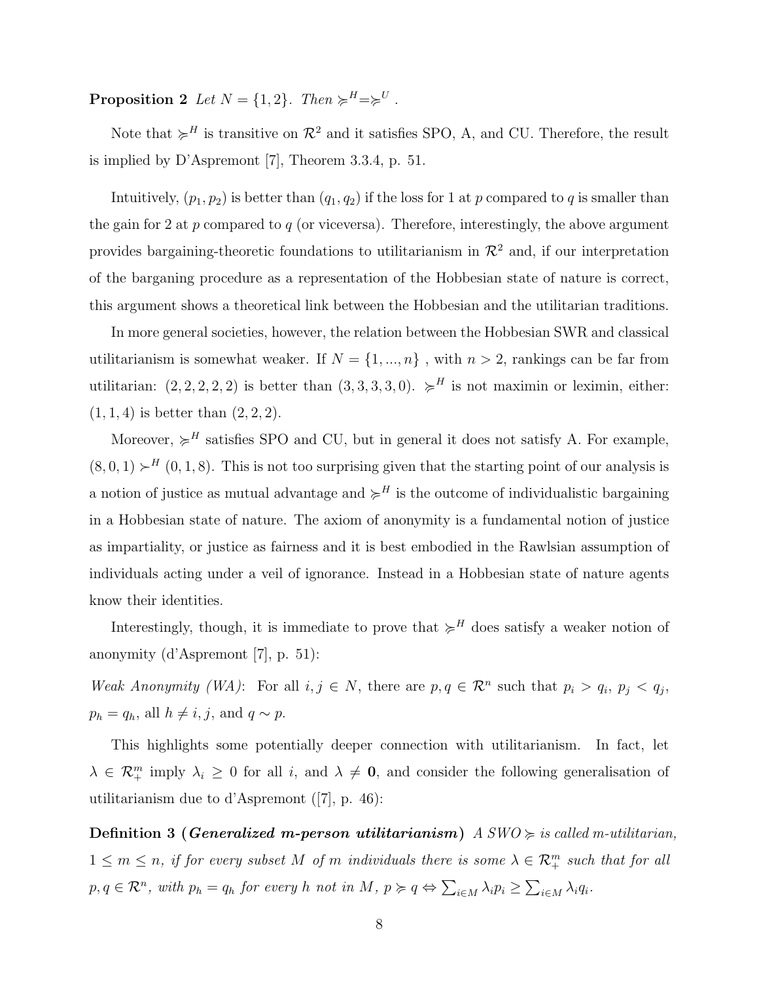**Proposition 2** Let  $N = \{1, 2\}$ . Then  $\succcurlyeq^H = \succcurlyeq^U$ .

Note that  $\succcurlyeq^H$  is transitive on  $\mathcal{R}^2$  and it satisfies SPO, A, and CU. Therefore, the result is implied by D'Aspremont [7], Theorem 3.3.4, p. 51.

Intuitively,  $(p_1, p_2)$  is better than  $(q_1, q_2)$  if the loss for 1 at p compared to q is smaller than the gain for 2 at p compared to q (or viceversa). Therefore, interestingly, the above argument provides bargaining-theoretic foundations to utilitarianism in  $\mathcal{R}^2$  and, if our interpretation of the barganing procedure as a representation of the Hobbesian state of nature is correct, this argument shows a theoretical link between the Hobbesian and the utilitarian traditions.

In more general societies, however, the relation between the Hobbesian SWR and classical utilitarianism is somewhat weaker. If  $N = \{1, ..., n\}$ , with  $n > 2$ , rankings can be far from utilitarian:  $(2, 2, 2, 2, 2)$  is better than  $(3, 3, 3, 3, 0)$ .  $\succcurlyeq^H$  is not maximin or leximin, either:  $(1, 1, 4)$  is better than  $(2, 2, 2)$ .

Moreover,  $\succcurlyeq^H$  satisfies SPO and CU, but in general it does not satisfy A. For example,  $(8, 0, 1) \succ^H (0, 1, 8)$ . This is not too surprising given that the starting point of our analysis is a notion of justice as mutual advantage and  $\succcurlyeq^H$  is the outcome of individualistic bargaining in a Hobbesian state of nature. The axiom of anonymity is a fundamental notion of justice as impartiality, or justice as fairness and it is best embodied in the Rawlsian assumption of individuals acting under a veil of ignorance. Instead in a Hobbesian state of nature agents know their identities.

Interestingly, though, it is immediate to prove that  $\succcurlyeq^H$  does satisfy a weaker notion of anonymity (d'Aspremont [7], p. 51):

Weak Anonymity (WA): For all  $i, j \in N$ , there are  $p, q \in \mathcal{R}^n$  such that  $p_i > q_i$ ,  $p_j < q_j$ ,  $p_h = q_h$ , all  $h \neq i, j$ , and  $q \sim p$ .

This highlights some potentially deeper connection with utilitarianism. In fact, let  $\lambda \in \mathcal{R}_{+}^{m}$  imply  $\lambda_i \geq 0$  for all i, and  $\lambda \neq 0$ , and consider the following generalisation of utilitarianism due to d'Aspremont ([7], p. 46):

**Definition 3 (Generalized m-person utilitarianism)**  $A SWO \geq iS$  called m-utilitarian,  $1 \leq m \leq n$ , if for every subset M of m individuals there is some  $\lambda \in \mathcal{R}_{+}^{m}$  such that for all  $p, q \in \mathcal{R}^n$ , with  $p_h = q_h$  for every h not in  $M, p \succcurlyeq q \Leftrightarrow$  $\overline{ }$  $\lambda_i\in M$   $\lambda_i p_i \geq$  $\overline{ }$  $_{i\in M}$   $\lambda_iq_i$ .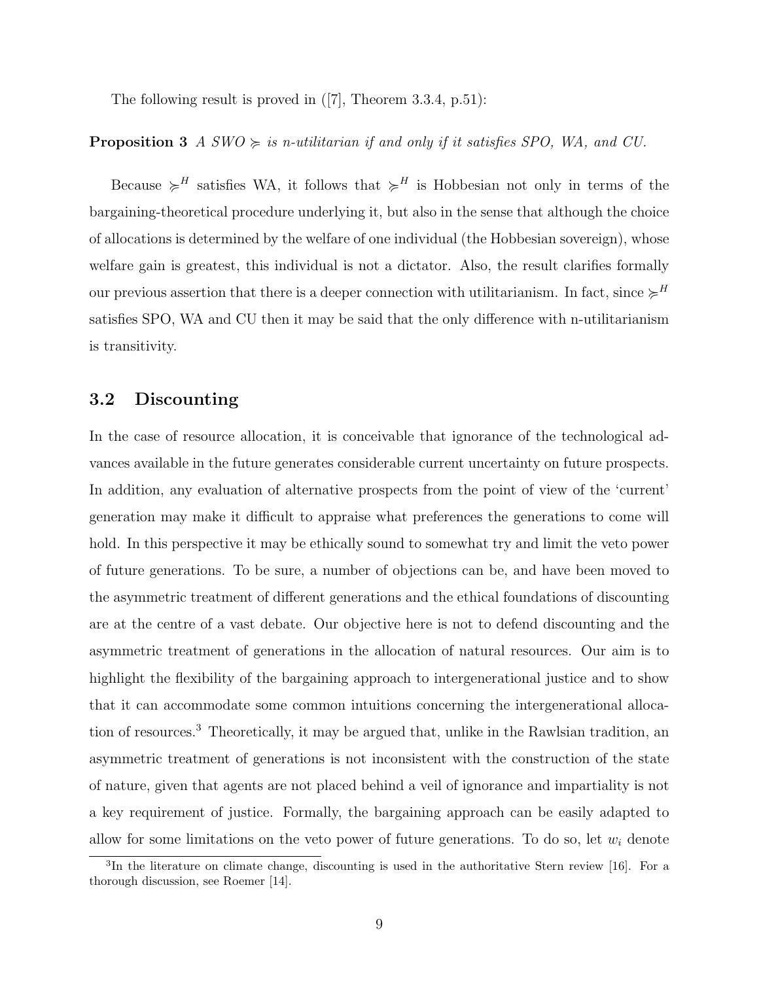The following result is proved in ([7], Theorem 3.3.4, p.51):

#### **Proposition 3** A  $SWO \geq$  is n-utilitarian if and only if it satisfies SPO, WA, and CU.

Because  $\succeq^H$  satisfies WA, it follows that  $\succeq^H$  is Hobbesian not only in terms of the bargaining-theoretical procedure underlying it, but also in the sense that although the choice of allocations is determined by the welfare of one individual (the Hobbesian sovereign), whose welfare gain is greatest, this individual is not a dictator. Also, the result clarifies formally our previous assertion that there is a deeper connection with utilitarianism. In fact, since  $\succcurlyeq^H$ satisfies SPO, WA and CU then it may be said that the only difference with n-utilitarianism is transitivity.

#### 3.2 Discounting

In the case of resource allocation, it is conceivable that ignorance of the technological advances available in the future generates considerable current uncertainty on future prospects. In addition, any evaluation of alternative prospects from the point of view of the 'current' generation may make it difficult to appraise what preferences the generations to come will hold. In this perspective it may be ethically sound to somewhat try and limit the veto power of future generations. To be sure, a number of objections can be, and have been moved to the asymmetric treatment of different generations and the ethical foundations of discounting are at the centre of a vast debate. Our objective here is not to defend discounting and the asymmetric treatment of generations in the allocation of natural resources. Our aim is to highlight the flexibility of the bargaining approach to intergenerational justice and to show that it can accommodate some common intuitions concerning the intergenerational allocation of resources.<sup>3</sup> Theoretically, it may be argued that, unlike in the Rawlsian tradition, an asymmetric treatment of generations is not inconsistent with the construction of the state of nature, given that agents are not placed behind a veil of ignorance and impartiality is not a key requirement of justice. Formally, the bargaining approach can be easily adapted to allow for some limitations on the veto power of future generations. To do so, let  $w_i$  denote

<sup>&</sup>lt;sup>3</sup>In the literature on climate change, discounting is used in the authoritative Stern review [16]. For a thorough discussion, see Roemer [14].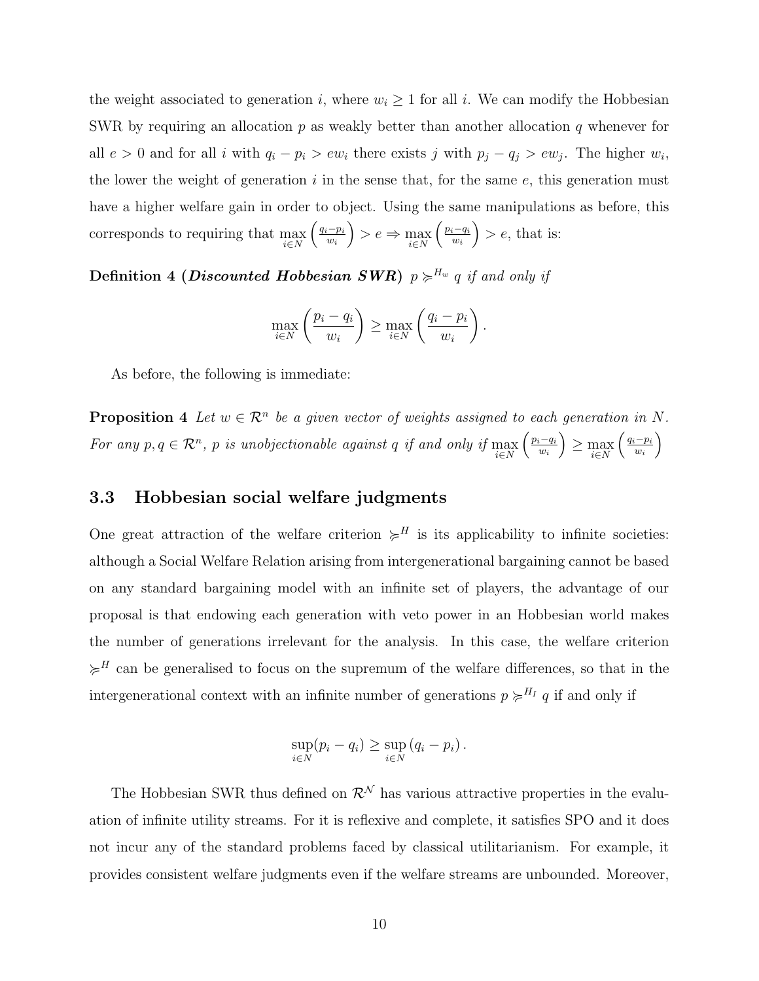the weight associated to generation i, where  $w_i \geq 1$  for all i. We can modify the Hobbesian SWR by requiring an allocation p as weakly better than another allocation q whenever for all  $e > 0$  and for all i with  $q_i - p_i > ew_i$  there exists j with  $p_j - q_j > ew_j$ . The higher  $w_i$ , the lower the weight of generation  $i$  in the sense that, for the same  $e$ , this generation must have a higher welfare gain in order to object. Using the same manipulations as before, this corresponds to requiring that  $\max_{i \in N}$ ³ ´ ³ ´  $q_i-p_i$  $\binom{n-p_i}{w_i} > e \Rightarrow \max_{i \in N}$  $p_i-q_i$  $\left(\frac{i-q_i}{w_i}\right) > e$ , that is:

Definition 4 (*Discounted Hobbesian SWR*)  $p \succcurlyeq^{H_w} q$  if and only if

$$
\max_{i \in N} \left( \frac{p_i - q_i}{w_i} \right) \ge \max_{i \in N} \left( \frac{q_i - p_i}{w_i} \right).
$$

As before, the following is immediate:

**Proposition 4** Let  $w \in \mathbb{R}^n$  be a given vector of weights assigned to each generation in N. For any  $p, q \in \mathcal{R}^n$ , p is unobjectionable against q if and only if  $\max_{i \in N}$  $\overline{\phantom{a}}$  $p_i-q_i$  $w_i$ ر<br>د  $≥$  max  $\geq$  $\frac{1}{2}$  $q_i-p_i$  $w_i$ ´

#### 3.3 Hobbesian social welfare judgments

One great attraction of the welfare criterion  $\succcurlyeq^H$  is its applicability to infinite societies: although a Social Welfare Relation arising from intergenerational bargaining cannot be based on any standard bargaining model with an infinite set of players, the advantage of our proposal is that endowing each generation with veto power in an Hobbesian world makes the number of generations irrelevant for the analysis. In this case, the welfare criterion  $\succcurlyeq^H$  can be generalised to focus on the supremum of the welfare differences, so that in the intergenerational context with an infinite number of generations  $p \succcurlyeq^{H_I} q$  if and only if

$$
\sup_{i\in N}(p_i-q_i)\geq \sup_{i\in N}(q_i-p_i).
$$

The Hobbesian SWR thus defined on  $\mathcal{R}^{\mathcal{N}}$  has various attractive properties in the evaluation of infinite utility streams. For it is reflexive and complete, it satisfies SPO and it does not incur any of the standard problems faced by classical utilitarianism. For example, it provides consistent welfare judgments even if the welfare streams are unbounded. Moreover,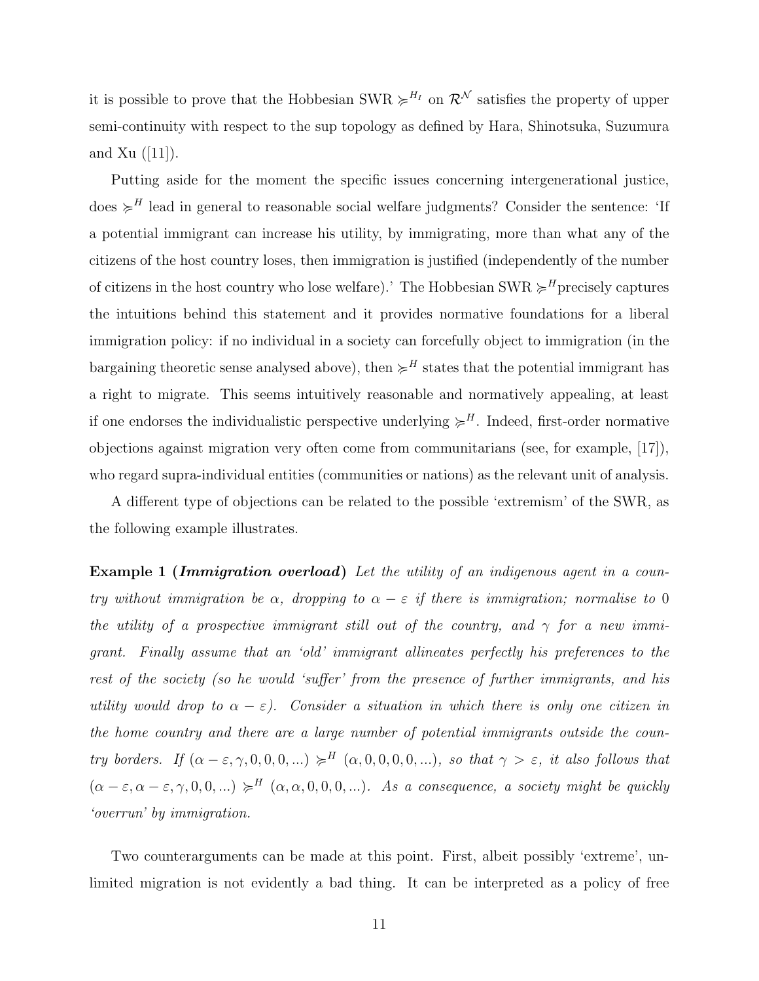it is possible to prove that the Hobbesian SWR  $\succcurlyeq^{H_I}$  on  $\mathcal{R}^{\mathcal{N}}$  satisfies the property of upper semi-continuity with respect to the sup topology as defined by Hara, Shinotsuka, Suzumura and Xu  $(|11|)$ .

Putting aside for the moment the specific issues concerning intergenerational justice, does  $\succcurlyeq^H$  lead in general to reasonable social welfare judgments? Consider the sentence: 'If a potential immigrant can increase his utility, by immigrating, more than what any of the citizens of the host country loses, then immigration is justified (independently of the number of citizens in the host country who lose welfare).' The Hobbesian SWR  $\succcurlyeq^H$  precisely captures the intuitions behind this statement and it provides normative foundations for a liberal immigration policy: if no individual in a society can forcefully object to immigration (in the bargaining theoretic sense analysed above), then  $\succcurlyeq^H$  states that the potential immigrant has a right to migrate. This seems intuitively reasonable and normatively appealing, at least if one endorses the individualistic perspective underlying  $\succcurlyeq^H$ . Indeed, first-order normative objections against migration very often come from communitarians (see, for example, [17]), who regard supra-individual entities (communities or nations) as the relevant unit of analysis.

A different type of objections can be related to the possible 'extremism' of the SWR, as the following example illustrates.

**Example 1 (Immigration overload)** Let the utility of an indigenous agent in a country without immigration be  $\alpha$ , dropping to  $\alpha - \varepsilon$  if there is immigration; normalise to 0 the utility of a prospective immigrant still out of the country, and  $\gamma$  for a new immigrant. Finally assume that an 'old' immigrant allineates perfectly his preferences to the rest of the society (so he would 'suffer' from the presence of further immigrants, and his utility would drop to  $\alpha - \varepsilon$ ). Consider a situation in which there is only one citizen in the home country and there are a large number of potential immigrants outside the country borders. If  $(\alpha - \varepsilon, \gamma, 0, 0, 0, ...) \neq^H (\alpha, 0, 0, 0, 0, ...)$ , so that  $\gamma > \varepsilon$ , it also follows that  $(\alpha - \varepsilon, \alpha - \varepsilon, \gamma, 0, 0, ...) \succcurlyeq^H (\alpha, \alpha, 0, 0, 0, ...)$ . As a consequence, a society might be quickly 'overrun' by immigration.

Two counterarguments can be made at this point. First, albeit possibly 'extreme', unlimited migration is not evidently a bad thing. It can be interpreted as a policy of free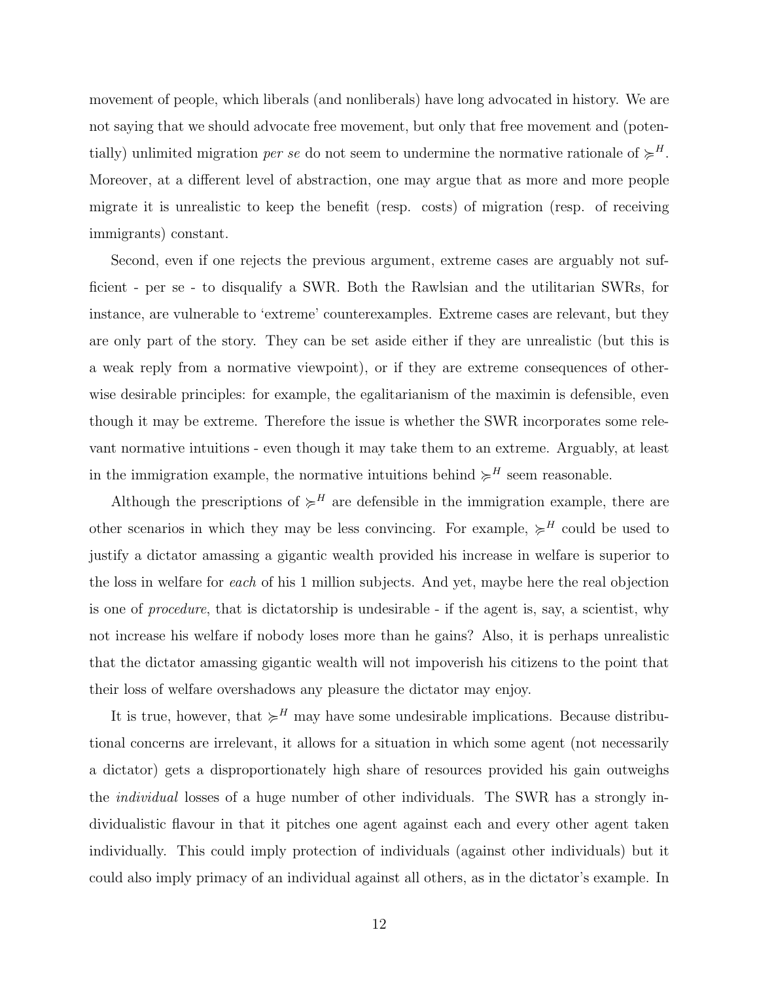movement of people, which liberals (and nonliberals) have long advocated in history. We are not saying that we should advocate free movement, but only that free movement and (potentially) unlimited migration *per se* do not seem to undermine the normative rationale of  $\succcurlyeq^H$ . Moreover, at a different level of abstraction, one may argue that as more and more people migrate it is unrealistic to keep the benefit (resp. costs) of migration (resp. of receiving immigrants) constant.

Second, even if one rejects the previous argument, extreme cases are arguably not sufficient - per se - to disqualify a SWR. Both the Rawlsian and the utilitarian SWRs, for instance, are vulnerable to 'extreme' counterexamples. Extreme cases are relevant, but they are only part of the story. They can be set aside either if they are unrealistic (but this is a weak reply from a normative viewpoint), or if they are extreme consequences of otherwise desirable principles: for example, the egalitarianism of the maximin is defensible, even though it may be extreme. Therefore the issue is whether the SWR incorporates some relevant normative intuitions - even though it may take them to an extreme. Arguably, at least in the immigration example, the normative intuitions behind  $\succcurlyeq^H$  seem reasonable.

Although the prescriptions of  $\succeq^H$  are defensible in the immigration example, there are other scenarios in which they may be less convincing. For example,  $\succcurlyeq^H$  could be used to justify a dictator amassing a gigantic wealth provided his increase in welfare is superior to the loss in welfare for each of his 1 million subjects. And yet, maybe here the real objection is one of procedure, that is dictatorship is undesirable - if the agent is, say, a scientist, why not increase his welfare if nobody loses more than he gains? Also, it is perhaps unrealistic that the dictator amassing gigantic wealth will not impoverish his citizens to the point that their loss of welfare overshadows any pleasure the dictator may enjoy.

It is true, however, that  $\succcurlyeq^H$  may have some undesirable implications. Because distributional concerns are irrelevant, it allows for a situation in which some agent (not necessarily a dictator) gets a disproportionately high share of resources provided his gain outweighs the individual losses of a huge number of other individuals. The SWR has a strongly individualistic flavour in that it pitches one agent against each and every other agent taken individually. This could imply protection of individuals (against other individuals) but it could also imply primacy of an individual against all others, as in the dictator's example. In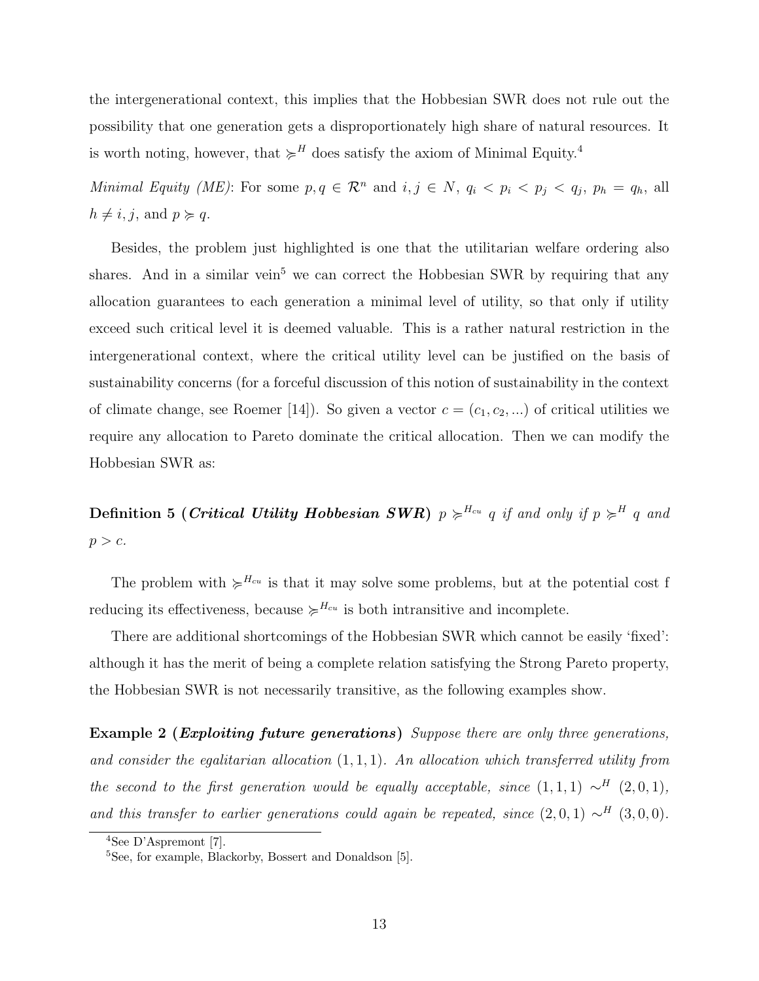the intergenerational context, this implies that the Hobbesian SWR does not rule out the possibility that one generation gets a disproportionately high share of natural resources. It is worth noting, however, that  $\succcurlyeq^H$  does satisfy the axiom of Minimal Equity.<sup>4</sup>

Minimal Equity (ME): For some  $p, q \in \mathcal{R}^n$  and  $i, j \in N$ ,  $q_i < p_i < q_j$ ,  $p_h = q_h$ , all  $h \neq i, j$ , and  $p \succcurlyeq q$ .

Besides, the problem just highlighted is one that the utilitarian welfare ordering also shares. And in a similar vein<sup>5</sup> we can correct the Hobbesian SWR by requiring that any allocation guarantees to each generation a minimal level of utility, so that only if utility exceed such critical level it is deemed valuable. This is a rather natural restriction in the intergenerational context, where the critical utility level can be justified on the basis of sustainability concerns (for a forceful discussion of this notion of sustainability in the context of climate change, see Roemer [14]). So given a vector  $c = (c_1, c_2, ...)$  of critical utilities we require any allocation to Pareto dominate the critical allocation. Then we can modify the Hobbesian SWR as:

**Definition 5 (Critical Utility Hobbesian SWR)**  $p \geq^{H_{cu}} q$  if and only if  $p \geq^H q$  and  $p > c$ .

The problem with  $\geqslant^{H_{cu}}$  is that it may solve some problems, but at the potential cost f reducing its effectiveness, because  $\succcurlyeq^{H_{cu}}$  is both intransitive and incomplete.

There are additional shortcomings of the Hobbesian SWR which cannot be easily 'fixed': although it has the merit of being a complete relation satisfying the Strong Pareto property, the Hobbesian SWR is not necessarily transitive, as the following examples show.

Example 2 (*Exploiting future generations*) Suppose there are only three generations, and consider the equitarian allocation  $(1, 1, 1)$ . An allocation which transferred utility from the second to the first generation would be equally acceptable, since  $(1, 1, 1) \sim^H (2, 0, 1)$ , and this transfer to earlier generations could again be repeated, since  $(2,0,1) \sim^H (3,0,0)$ .

<sup>4</sup>See D'Aspremont [7].

<sup>&</sup>lt;sup>5</sup>See, for example, Blackorby, Bossert and Donaldson [5].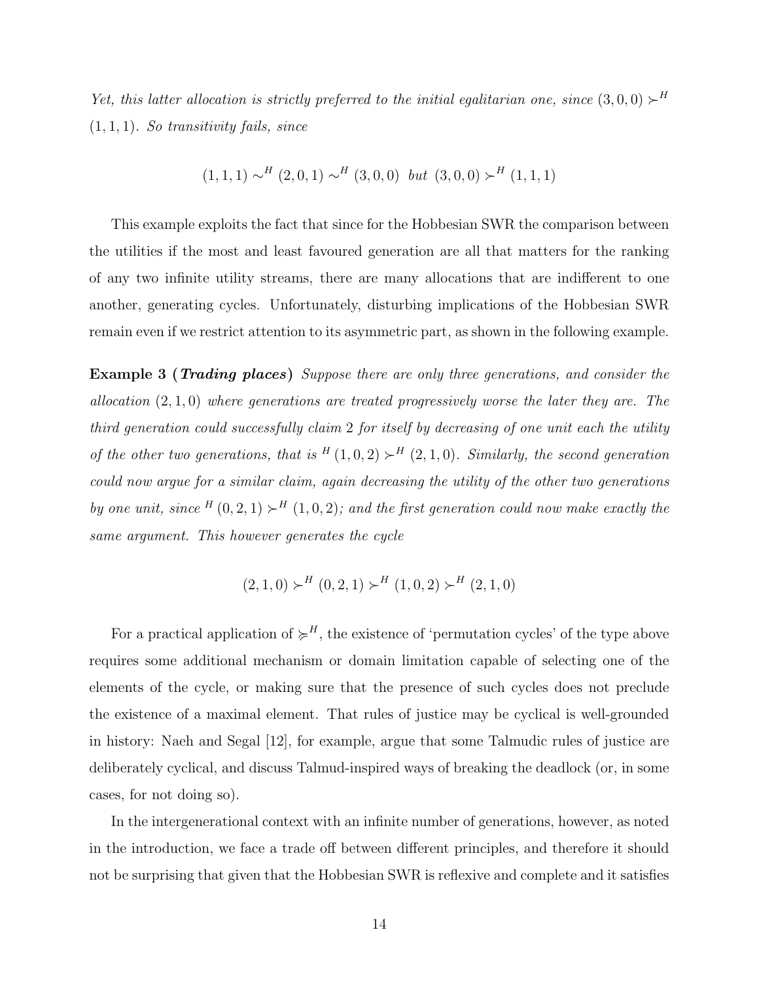Yet, this latter allocation is strictly preferred to the initial egalitarian one, since  $(3,0,0) \succ^H$  $(1, 1, 1)$ . So transitivity fails, since

$$
(1,1,1) \sim^H (2,0,1) \sim^H (3,0,0)
$$
 but  $(3,0,0) \succ^H (1,1,1)$ 

This example exploits the fact that since for the Hobbesian SWR the comparison between the utilities if the most and least favoured generation are all that matters for the ranking of any two infinite utility streams, there are many allocations that are indifferent to one another, generating cycles. Unfortunately, disturbing implications of the Hobbesian SWR remain even if we restrict attention to its asymmetric part, as shown in the following example.

**Example 3 (Trading places)** Suppose there are only three generations, and consider the allocation  $(2, 1, 0)$  where generations are treated progressively worse the later they are. The third generation could successfully claim 2 for itself by decreasing of one unit each the utility of the other two generations, that is  $^{H}(1,0,2) \succ^H (2,1,0)$ . Similarly, the second generation could now argue for a similar claim, again decreasing the utility of the other two generations by one unit, since  $^{H}(0, 2, 1) \succ^H (1, 0, 2)$ ; and the first generation could now make exactly the same argument. This however generates the cycle

$$
(2,1,0) \succ^H (0,2,1) \succ^H (1,0,2) \succ^H (2,1,0)
$$

For a practical application of  $\succeq^H$ , the existence of 'permutation cycles' of the type above requires some additional mechanism or domain limitation capable of selecting one of the elements of the cycle, or making sure that the presence of such cycles does not preclude the existence of a maximal element. That rules of justice may be cyclical is well-grounded in history: Naeh and Segal [12], for example, argue that some Talmudic rules of justice are deliberately cyclical, and discuss Talmud-inspired ways of breaking the deadlock (or, in some cases, for not doing so).

In the intergenerational context with an infinite number of generations, however, as noted in the introduction, we face a trade off between different principles, and therefore it should not be surprising that given that the Hobbesian SWR is reflexive and complete and it satisfies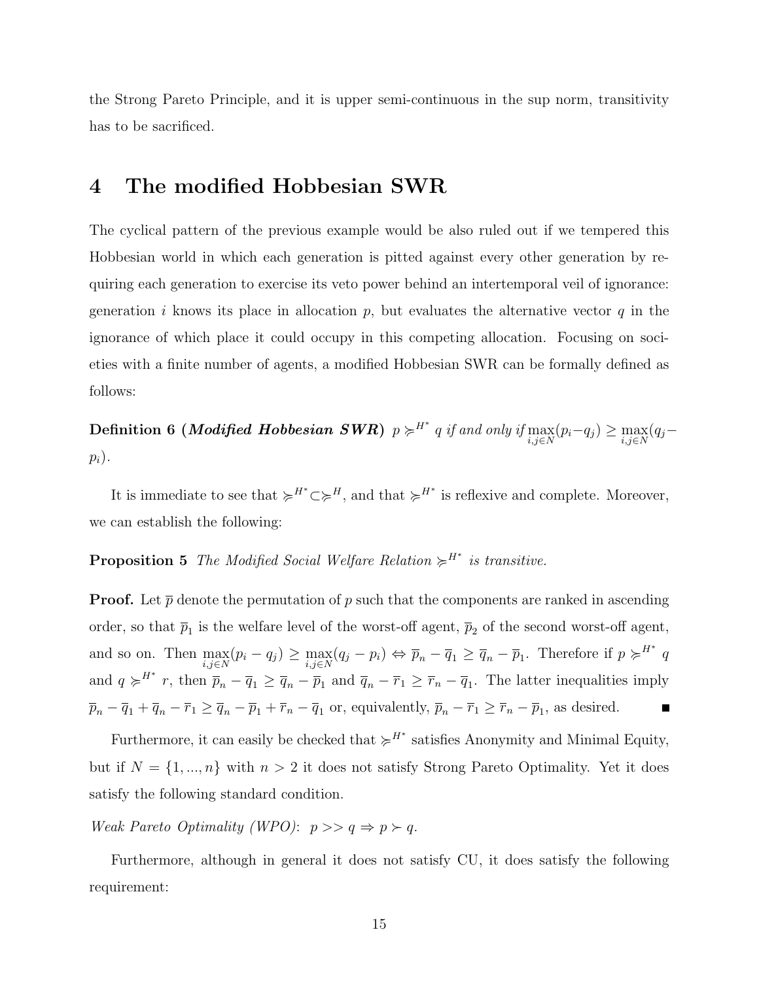the Strong Pareto Principle, and it is upper semi-continuous in the sup norm, transitivity has to be sacrificed.

#### 4 The modified Hobbesian SWR

The cyclical pattern of the previous example would be also ruled out if we tempered this Hobbesian world in which each generation is pitted against every other generation by requiring each generation to exercise its veto power behind an intertemporal veil of ignorance: generation i knows its place in allocation p, but evaluates the alternative vector q in the ignorance of which place it could occupy in this competing allocation. Focusing on societies with a finite number of agents, a modified Hobbesian SWR can be formally defined as follows:

Definition 6 (*Modified Hobbesian SWR*)  $p \succcurlyeq^{H^*} q$  if and only if  $\max_{i,j \in N} (p_i - q_j) \geq \max_{i,j \in N} (q_j - q_j)$  $p_i$ ).

It is immediate to see that  $\succcurlyeq^{H^*} \subset \succcurlyeq^H$ , and that  $\succcurlyeq^{H^*}$  is reflexive and complete. Moreover, we can establish the following:

#### **Proposition 5** The Modified Social Welfare Relation  $\succcurlyeq^{H^*}$  is transitive.

**Proof.** Let  $\bar{p}$  denote the permutation of p such that the components are ranked in ascending order, so that  $\bar{p}_1$  is the welfare level of the worst-off agent,  $\bar{p}_2$  of the second worst-off agent, and so on. Then  $\max_{i,j\in\mathbb{N}}(p_i-q_j) \geq \max_{i,j\in\mathbb{N}}(q_j-p_i) \Leftrightarrow \overline{p}_n-\overline{q}_1 \geq \overline{q}_n-\overline{p}_1$ . Therefore if  $p \succcurlyeq^{H^*} q$ and  $q \geq l^{H^*} r$ , then  $\overline{p}_n - \overline{q}_1 \geq \overline{q}_n - \overline{p}_1$  and  $\overline{q}_n - \overline{r}_1 \geq \overline{r}_n - \overline{q}_1$ . The latter inequalities imply  $\overline{p}_n - \overline{q}_1 + \overline{q}_n - \overline{r}_1 \ge \overline{q}_n - \overline{p}_1 + \overline{r}_n - \overline{q}_1$  or, equivalently,  $\overline{p}_n - \overline{r}_1 \ge \overline{r}_n - \overline{p}_1$ , as desired. П

Furthermore, it can easily be checked that  $\succcurlyeq^{H^*}$  satisfies Anonymity and Minimal Equity, but if  $N = \{1, ..., n\}$  with  $n > 2$  it does not satisfy Strong Pareto Optimality. Yet it does satisfy the following standard condition.

Weak Pareto Optimality (WPO):  $p \gg q \Rightarrow p \succ q$ .

Furthermore, although in general it does not satisfy CU, it does satisfy the following requirement: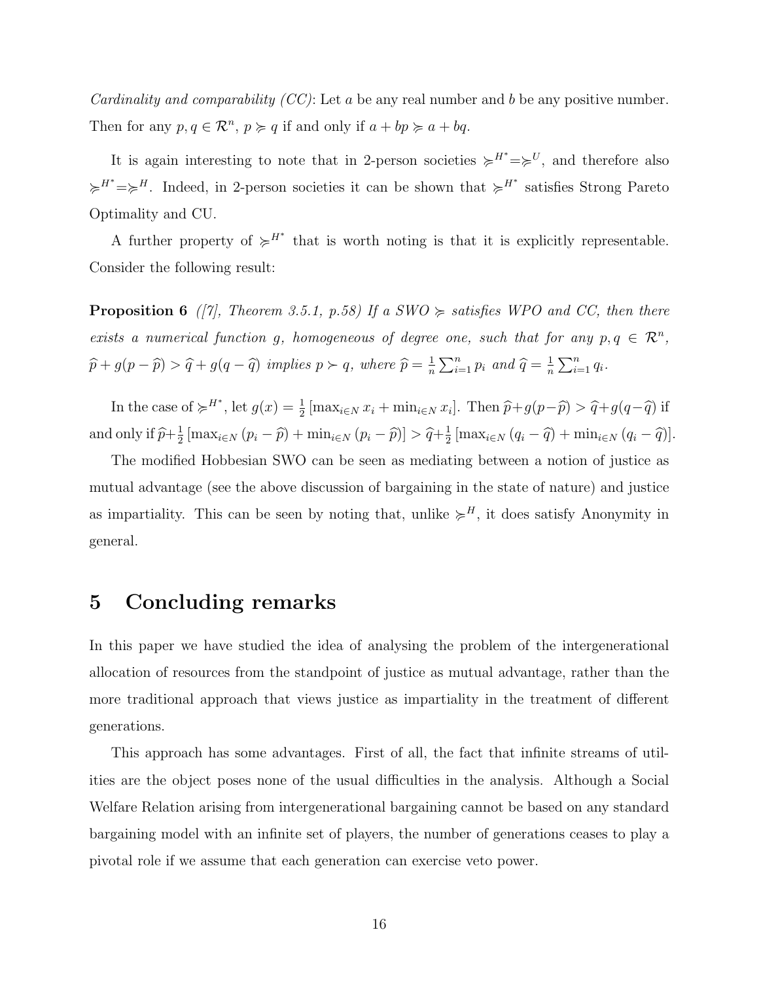*Cardinality and comparability (CC)*: Let a be any real number and b be any positive number. Then for any  $p, q \in \mathbb{R}^n$ ,  $p \geq q$  if and only if  $a + bp \geq a + bq$ .

It is again interesting to note that in 2-person societies  $\succcurlyeq^{H^*}=\succcurlyeq^U$ , and therefore also  $\succcurlyeq^{H^*}=\succcurlyeq^H$ . Indeed, in 2-person societies it can be shown that  $\succcurlyeq^{H^*}$  satisfies Strong Pareto Optimality and CU.

A further property of  $\succcurlyeq^{H^*}$  that is worth noting is that it is explicitly representable. Consider the following result:

**Proposition 6** ([7], Theorem 3.5.1, p.58) If a SWO  $\succcurlyeq$  satisfies WPO and CC, then there exists a numerical function g, homogeneous of degree one, such that for any  $p, q \in \mathbb{R}^n$ ,  $\widehat{p} + g(p - \widehat{p}) > \widehat{q} + g(q - \widehat{q})$  implies  $p \succ q$ , where  $\widehat{p} = \frac{1}{p}$ n  $\sum_{ }^{\infty}$ n  $\sum_{i=1}^n p_i$  and  $\widehat{q} = \frac{1}{n}$ n  $\sum_{n=1}^{\infty}$  $\sum_{i=1}^n q_i$ .

In the case of  $\succcurlyeq^{H^*}$ , let  $g(x) = \frac{1}{2} [\max_{i \in N} x_i + \min_{i \in N} x_i]$ . Then  $\widehat{p} + g(p - \widehat{p}) > \widehat{q} + g(q - \widehat{q})$  if and only if  $\hat{p}+\frac{1}{2}$  $\frac{1}{2} \left[ \max_{i \in \mathbb{N}} \left( p_i - \widehat{p} \right) + \min_{i \in \mathbb{N}} \left( p_i - \widehat{p} \right) \right] > \widehat{q} + \frac{1}{2}$  $\frac{1}{2} \left[ \max_{i \in \mathbb{N}} \left( q_i - \widehat{q} \right) + \min_{i \in \mathbb{N}} \left( q_i - \widehat{q} \right) \right].$ 

The modified Hobbesian SWO can be seen as mediating between a notion of justice as mutual advantage (see the above discussion of bargaining in the state of nature) and justice as impartiality. This can be seen by noting that, unlike  $\succcurlyeq^H$ , it does satisfy Anonymity in general.

#### 5 Concluding remarks

In this paper we have studied the idea of analysing the problem of the intergenerational allocation of resources from the standpoint of justice as mutual advantage, rather than the more traditional approach that views justice as impartiality in the treatment of different generations.

This approach has some advantages. First of all, the fact that infinite streams of utilities are the object poses none of the usual difficulties in the analysis. Although a Social Welfare Relation arising from intergenerational bargaining cannot be based on any standard bargaining model with an infinite set of players, the number of generations ceases to play a pivotal role if we assume that each generation can exercise veto power.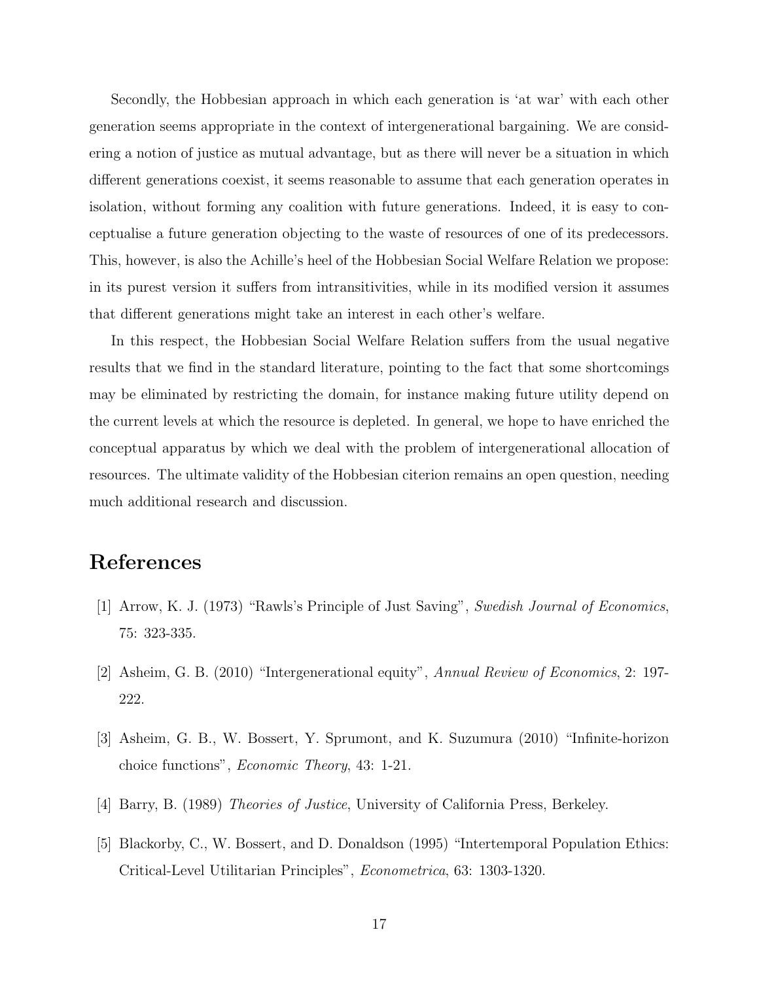Secondly, the Hobbesian approach in which each generation is 'at war' with each other generation seems appropriate in the context of intergenerational bargaining. We are considering a notion of justice as mutual advantage, but as there will never be a situation in which different generations coexist, it seems reasonable to assume that each generation operates in isolation, without forming any coalition with future generations. Indeed, it is easy to conceptualise a future generation objecting to the waste of resources of one of its predecessors. This, however, is also the Achille's heel of the Hobbesian Social Welfare Relation we propose: in its purest version it suffers from intransitivities, while in its modified version it assumes that different generations might take an interest in each other's welfare.

In this respect, the Hobbesian Social Welfare Relation suffers from the usual negative results that we find in the standard literature, pointing to the fact that some shortcomings may be eliminated by restricting the domain, for instance making future utility depend on the current levels at which the resource is depleted. In general, we hope to have enriched the conceptual apparatus by which we deal with the problem of intergenerational allocation of resources. The ultimate validity of the Hobbesian citerion remains an open question, needing much additional research and discussion.

### References

- [1] Arrow, K. J. (1973) "Rawls's Principle of Just Saving", Swedish Journal of Economics, 75: 323-335.
- [2] Asheim, G. B. (2010) "Intergenerational equity", Annual Review of Economics, 2: 197- 222.
- [3] Asheim, G. B., W. Bossert, Y. Sprumont, and K. Suzumura (2010) "Infinite-horizon choice functions", Economic Theory, 43: 1-21.
- [4] Barry, B. (1989) Theories of Justice, University of California Press, Berkeley.
- [5] Blackorby, C., W. Bossert, and D. Donaldson (1995) "Intertemporal Population Ethics: Critical-Level Utilitarian Principles", Econometrica, 63: 1303-1320.